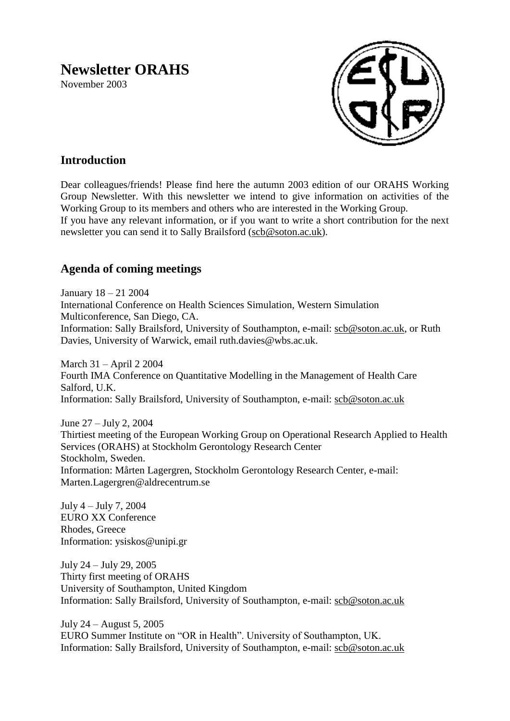# **Newsletter ORAHS**

November 2003



# **Introduction**

Dear colleagues/friends! Please find here the autumn 2003 edition of our ORAHS Working Group Newsletter. With this newsletter we intend to give information on activities of the Working Group to its members and others who are interested in the Working Group. If you have any relevant information, or if you want to write a short contribution for the next newsletter you can send it to Sally Brailsford [\(scb@soton.ac.uk\)](mailto:scb@soton.ac.uk).

# **Agenda of coming meetings**

January 18 – 21 2004 International Conference on Health Sciences Simulation, Western Simulation Multiconference, San Diego, CA. Information: Sally Brailsford, University of Southampton, e-mail: [scb@soton.ac.uk,](mailto:scb@soton.ac.uk) or Ruth Davies, University of Warwick, email ruth.davies@wbs.ac.uk.

March 31 – April 2 2004 Fourth IMA Conference on Quantitative Modelling in the Management of Health Care Salford, U.K. Information: Sally Brailsford, University of Southampton, e-mail: [scb@soton.ac.uk](mailto:scb@soton.ac.uk)

June 27 – July 2, 2004 Thirtiest meeting of the European Working Group on Operational Research Applied to Health Services (ORAHS) at Stockholm Gerontology Research Center Stockholm, Sweden. Information: Mårten Lagergren, Stockholm Gerontology Research Center, e-mail: Marten.Lagergren@aldrecentrum.se

July 4 – July 7, 2004 EURO XX Conference Rhodes, Greece Information: ysiskos@unipi.gr

July 24 – July 29, 2005 Thirty first meeting of ORAHS University of Southampton, United Kingdom Information: Sally Brailsford, University of Southampton, e-mail: [scb@soton.ac.uk](mailto:scb@soton.ac.uk)

July 24 – August 5, 2005 EURO Summer Institute on "OR in Health". University of Southampton, UK. Information: Sally Brailsford, University of Southampton, e-mail: [scb@soton.ac.uk](mailto:scb@soton.ac.uk)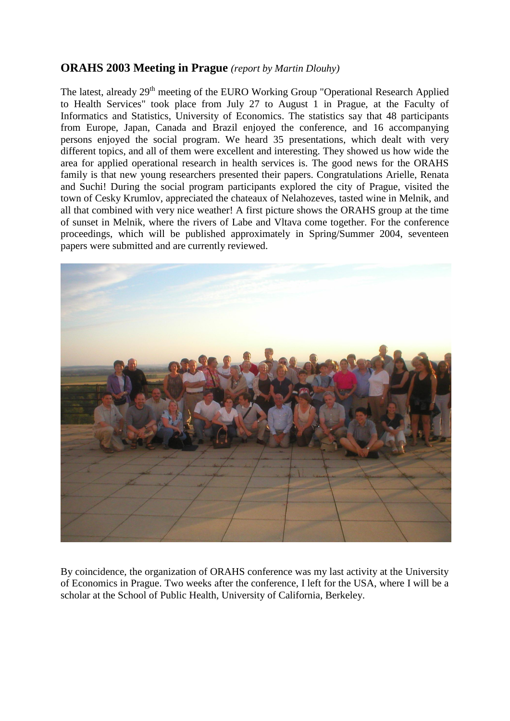## **ORAHS 2003 Meeting in Prague** *(report by Martin Dlouhy)*

The latest, already 29<sup>th</sup> meeting of the EURO Working Group "Operational Research Applied to Health Services" took place from July 27 to August 1 in Prague, at the Faculty of Informatics and Statistics, University of Economics. The statistics say that 48 participants from Europe, Japan, Canada and Brazil enjoyed the conference, and 16 accompanying persons enjoyed the social program. We heard 35 presentations, which dealt with very different topics, and all of them were excellent and interesting. They showed us how wide the area for applied operational research in health services is. The good news for the ORAHS family is that new young researchers presented their papers. Congratulations Arielle, Renata and Suchi! During the social program participants explored the city of Prague, visited the town of Cesky Krumlov, appreciated the chateaux of Nelahozeves, tasted wine in Melnik, and all that combined with very nice weather! A first picture shows the ORAHS group at the time of sunset in Melnik, where the rivers of Labe and Vltava come together. For the conference proceedings, which will be published approximately in Spring/Summer 2004, seventeen papers were submitted and are currently reviewed.



By coincidence, the organization of ORAHS conference was my last activity at the University of Economics in Prague. Two weeks after the conference, I left for the USA, where I will be a scholar at the School of Public Health, University of California, Berkeley.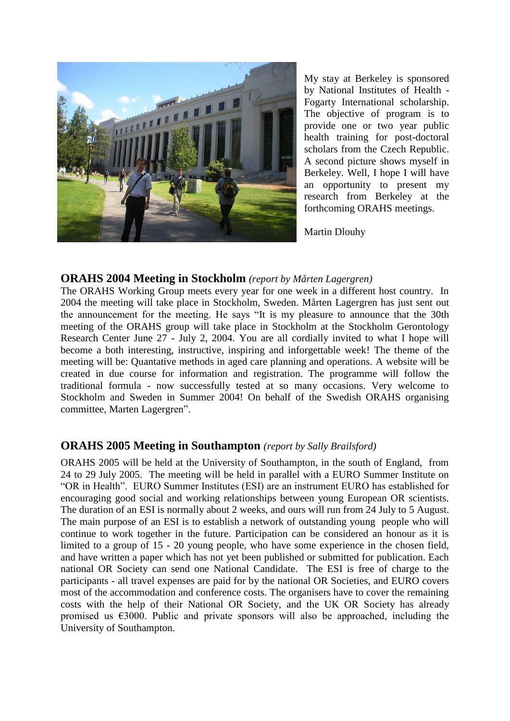

My stay at Berkeley is sponsored by National Institutes of Health - Fogarty International scholarship. The objective of program is to provide one or two year public health training for post-doctoral scholars from the Czech Republic. A second picture shows myself in Berkeley. Well, I hope I will have an opportunity to present my research from Berkeley at the forthcoming ORAHS meetings.

Martin Dlouhy

#### **ORAHS 2004 Meeting in Stockholm** *(report by Mårten Lagergren)*

The ORAHS Working Group meets every year for one week in a different host country. In 2004 the meeting will take place in Stockholm, Sweden. Mårten Lagergren has just sent out the announcement for the meeting. He says "It is my pleasure to announce that the 30th meeting of the ORAHS group will take place in Stockholm at the Stockholm Gerontology Research Center June 27 - July 2, 2004. You are all cordially invited to what I hope will become a both interesting, instructive, inspiring and inforgettable week! The theme of the meeting will be: Quantative methods in aged care planning and operations. A website will be created in due course for information and registration. The programme will follow the traditional formula - now successfully tested at so many occasions. Very welcome to Stockholm and Sweden in Summer 2004! On behalf of the Swedish ORAHS organising committee, Marten Lagergren".

## **ORAHS 2005 Meeting in Southampton** *(report by Sally Brailsford)*

ORAHS 2005 will be held at the University of Southampton, in the south of England, from 24 to 29 July 2005. The meeting will be held in parallel with a EURO Summer Institute on "OR in Health". EURO Summer Institutes (ESI) are an instrument EURO has established for encouraging good social and working relationships between young European OR scientists. The duration of an ESI is normally about 2 weeks, and ours will run from 24 July to 5 August. The main purpose of an ESI is to establish a network of outstanding young people who will continue to work together in the future. Participation can be considered an honour as it is limited to a group of 15 - 20 young people, who have some experience in the chosen field, and have written a paper which has not yet been published or submitted for publication. Each national OR Society can send one National Candidate. The ESI is free of charge to the participants - all travel expenses are paid for by the national OR Societies, and EURO covers most of the accommodation and conference costs. The organisers have to cover the remaining costs with the help of their National OR Society, and the UK OR Society has already promised us  $\epsilon$ 3000. Public and private sponsors will also be approached, including the University of Southampton.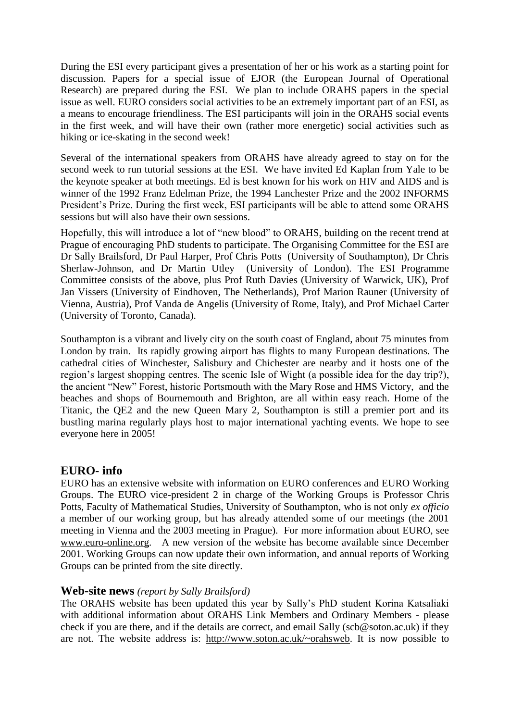During the ESI every participant gives a presentation of her or his work as a starting point for discussion. Papers for a special issue of EJOR (the European Journal of Operational Research) are prepared during the ESI. We plan to include ORAHS papers in the special issue as well. EURO considers social activities to be an extremely important part of an ESI, as a means to encourage friendliness. The ESI participants will join in the ORAHS social events in the first week, and will have their own (rather more energetic) social activities such as hiking or ice-skating in the second week!

Several of the international speakers from ORAHS have already agreed to stay on for the second week to run tutorial sessions at the ESI. We have invited Ed Kaplan from Yale to be the keynote speaker at both meetings. Ed is best known for his work on HIV and AIDS and is winner of the 1992 Franz Edelman Prize, the 1994 Lanchester Prize and the 2002 INFORMS President's Prize. During the first week, ESI participants will be able to attend some ORAHS sessions but will also have their own sessions.

Hopefully, this will introduce a lot of "new blood" to ORAHS, building on the recent trend at Prague of encouraging PhD students to participate. The Organising Committee for the ESI are Dr Sally Brailsford, Dr Paul Harper, Prof Chris Potts (University of Southampton), Dr Chris Sherlaw-Johnson, and Dr Martin Utley (University of London). The ESI Programme Committee consists of the above, plus Prof Ruth Davies (University of Warwick, UK), Prof Jan Vissers (University of Eindhoven, The Netherlands), Prof Marion Rauner (University of Vienna, Austria), Prof Vanda de Angelis (University of Rome, Italy), and Prof Michael Carter (University of Toronto, Canada).

Southampton is a vibrant and lively city on the south coast of England, about 75 minutes from London by train. Its rapidly growing airport has flights to many European destinations. The cathedral cities of Winchester, Salisbury and Chichester are nearby and it hosts one of the region's largest shopping centres. The scenic Isle of Wight (a possible idea for the day trip?), the ancient "New" Forest, historic Portsmouth with the Mary Rose and HMS Victory, and the beaches and shops of Bournemouth and Brighton, are all within easy reach. Home of the Titanic, the QE2 and the new Queen Mary 2, Southampton is still a premier port and its bustling marina regularly plays host to major international yachting events. We hope to see everyone here in 2005!

#### **EURO- info**

EURO has an extensive website with information on EURO conferences and EURO Working Groups. The EURO vice-president 2 in charge of the Working Groups is Professor Chris Potts, Faculty of Mathematical Studies, University of Southampton, who is not only *ex officio* a member of our working group, but has already attended some of our meetings (the 2001 meeting in Vienna and the 2003 meeting in Prague). For more information about EURO, see [www.euro-online.org.](http://www.euro-online.org/) A new version of the website has become available since December 2001. Working Groups can now update their own information, and annual reports of Working Groups can be printed from the site directly.

#### **Web-site news** *(report by Sally Brailsford)*

The ORAHS website has been updated this year by Sally's PhD student Korina Katsaliaki with additional information about ORAHS Link Members and Ordinary Members - please check if you are there, and if the details are correct, and email Sally (scb@soton.ac.uk) if they are not. The website address is: [http://www.soton.ac.uk/~orahsweb.](http://www.soton.ac.uk/~orahsweb) It is now possible to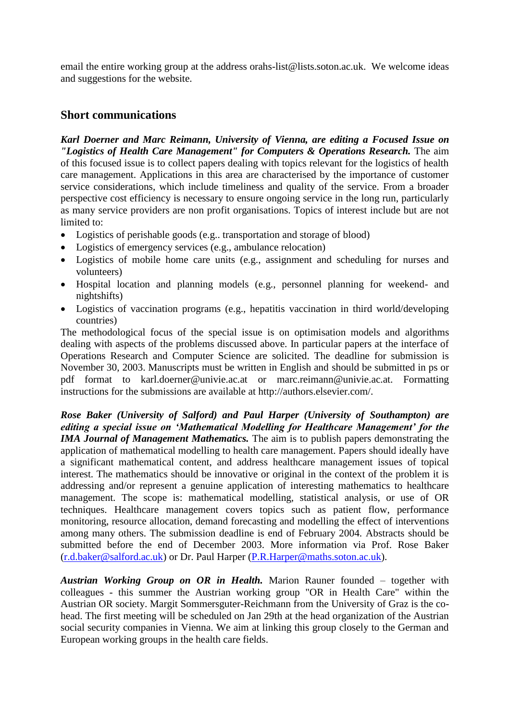email the entire working group at the address orahs-list@lists.soton.ac.uk. We welcome ideas and suggestions for the website.

## **Short communications**

*Karl Doerner and Marc Reimann, University of Vienna, are editing a Focused Issue on "Logistics of Health Care Management" for Computers & Operations Research.* The aim of this focused issue is to collect papers dealing with topics relevant for the logistics of health care management. Applications in this area are characterised by the importance of customer service considerations, which include timeliness and quality of the service. From a broader perspective cost efficiency is necessary to ensure ongoing service in the long run, particularly as many service providers are non profit organisations. Topics of interest include but are not limited to:

- Logistics of perishable goods (e.g.. transportation and storage of blood)
- Logistics of emergency services (e.g., ambulance relocation)
- Logistics of mobile home care units (e.g., assignment and scheduling for nurses and volunteers)
- Hospital location and planning models (e.g., personnel planning for weekend- and nightshifts)
- Logistics of vaccination programs (e.g., hepatitis vaccination in third world/developing countries)

The methodological focus of the special issue is on optimisation models and algorithms dealing with aspects of the problems discussed above. In particular papers at the interface of Operations Research and Computer Science are solicited. The deadline for submission is November 30, 2003. Manuscripts must be written in English and should be submitted in ps or pdf format to karl.doerner@univie.ac.at or marc.reimann@univie.ac.at. Formatting instructions for the submissions are available at http://authors.elsevier.com/.

*Rose Baker (University of Salford) and Paul Harper (University of Southampton) are editing a special issue on 'Mathematical Modelling for Healthcare Management' for the IMA Journal of Management Mathematics.* The aim is to publish papers demonstrating the application of mathematical modelling to health care management. Papers should ideally have a significant mathematical content, and address healthcare management issues of topical interest. The mathematics should be innovative or original in the context of the problem it is addressing and/or represent a genuine application of interesting mathematics to healthcare management. The scope is: mathematical modelling, statistical analysis, or use of OR techniques. Healthcare management covers topics such as patient flow, performance monitoring, resource allocation, demand forecasting and modelling the effect of interventions among many others. The submission deadline is end of February 2004. Abstracts should be submitted before the end of December 2003. More information via Prof. Rose Baker [\(r.d.baker@salford.ac.uk\)](mailto:r.d.baker@salford.ac.uk) or Dr. Paul Harper [\(P.R.Harper@maths.soton.ac.uk\)](mailto:P.R.Harper@maths.soton.ac.uk).

*Austrian Working Group on OR in Health.* Marion Rauner founded – together with colleagues - this summer the Austrian working group "OR in Health Care" within the Austrian OR society. Margit Sommersguter-Reichmann from the University of Graz is the cohead. The first meeting will be scheduled on Jan 29th at the head organization of the Austrian social security companies in Vienna. We aim at linking this group closely to the German and European working groups in the health care fields.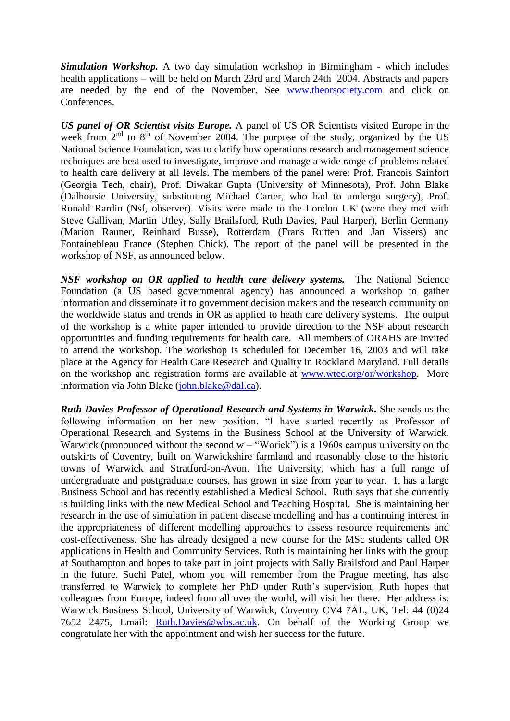*Simulation Workshop.* A two day simulation workshop in Birmingham - which includes health applications – will be held on March 23rd and March 24th 2004. Abstracts and papers are needed by the end of the November. See <www.theorsociety.com> and click on Conferences.

*US panel of OR Scientist visits Europe.* A panel of US OR Scientists visited Europe in the week from  $2^{nd}$  to  $8^{th}$  of November 2004. The purpose of the study, organized by the US National Science Foundation, was to clarify how operations research and management science techniques are best used to investigate, improve and manage a wide range of problems related to health care delivery at all levels. The members of the panel were: Prof. Francois Sainfort (Georgia Tech, chair), Prof. Diwakar Gupta (University of Minnesota), Prof. John Blake (Dalhousie University, substituting Michael Carter, who had to undergo surgery), Prof. Ronald Rardin (Nsf, observer). Visits were made to the London UK (were they met with Steve Gallivan, Martin Utley, Sally Brailsford, Ruth Davies, Paul Harper), Berlin Germany (Marion Rauner, Reinhard Busse), Rotterdam (Frans Rutten and Jan Vissers) and Fontainebleau France (Stephen Chick). The report of the panel will be presented in the workshop of NSF, as announced below.

*NSF workshop on OR applied to health care delivery systems.* The National Science Foundation (a US based governmental agency) has announced a workshop to gather information and disseminate it to government decision makers and the research community on the worldwide status and trends in OR as applied to heath care delivery systems. The output of the workshop is a white paper intended to provide direction to the NSF about research opportunities and funding requirements for health care. All members of ORAHS are invited to attend the workshop. The workshop is scheduled for December 16, 2003 and will take place at the Agency for Health Care Research and Quality in Rockland Maryland. Full details on the workshop and registration forms are available at [www.wtec.org/or/workshop.](http://www.wtec.org/or/workshop) More information via John Blake [\(john.blake@dal.ca\)](mailto:john.blake@dal.ca).

*Ruth Davies Professor of Operational Research and Systems in Warwick***.** She sends us the following information on her new position. "I have started recently as Professor of Operational Research and Systems in the Business School at the University of Warwick. Warwick (pronounced without the second  $w -$  "Worick") is a 1960s campus university on the outskirts of Coventry, built on Warwickshire farmland and reasonably close to the historic towns of Warwick and Stratford-on-Avon. The University, which has a full range of undergraduate and postgraduate courses, has grown in size from year to year. It has a large Business School and has recently established a Medical School. Ruth says that she currently is building links with the new Medical School and Teaching Hospital. She is maintaining her research in the use of simulation in patient disease modelling and has a continuing interest in the appropriateness of different modelling approaches to assess resource requirements and cost-effectiveness. She has already designed a new course for the MSc students called OR applications in Health and Community Services. Ruth is maintaining her links with the group at Southampton and hopes to take part in joint projects with Sally Brailsford and Paul Harper in the future. Suchi Patel, whom you will remember from the Prague meeting, has also transferred to Warwick to complete her PhD under Ruth's supervision. Ruth hopes that colleagues from Europe, indeed from all over the world, will visit her there. Her address is: Warwick Business School, University of Warwick, Coventry CV4 7AL, UK, Tel: 44 (0)24 7652 2475, Email: [Ruth.Davies@wbs.ac.uk.](mailto:Ruth.Davies@wbs.ac.uk) On behalf of the Working Group we congratulate her with the appointment and wish her success for the future.